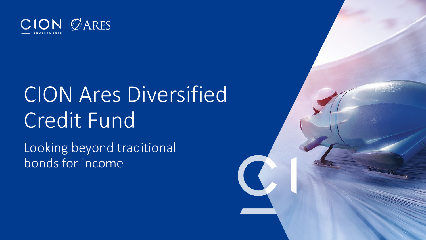

## CION Ares Diversified Credit Fund

Looking beyond traditional bonds for income

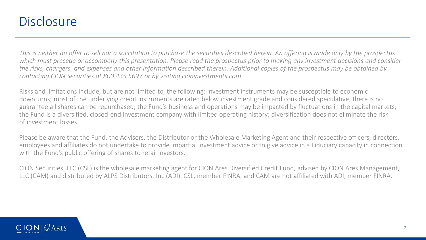### **Disclosure**

*This is neither an offer to sell nor a solicitation to purchase the securities described herein. An offering is made only by the prospectus which must precede or accompany this presentation. Please read the prospectus prior to making any investment decisions and consider the risks, chargers, and expenses and other information described therein. Additional copies of the prospectus may be obtained by contacting CION Securities at 800.435.5697 or by visiting cioninvestments.com.*

Risks and limitations include, but are not limited to, the following: investment instruments may be susceptible to economic downturns; most of the underlying credit instruments are rated below investment grade and considered speculative; there is no guarantee all shares can be repurchased; the Fund's business and operations may be impacted by fluctuations in the capital markets; the Fund is a diversified, closed-end investment company with limited operating history; diversification does not eliminate the risk of investment losses.

Please be aware that the Fund, the Advisers, the Distributor or the Wholesale Marketing Agent and their respective officers, directors, employees and affiliates do not undertake to provide impartial investment advice or to give advice in a Fiduciary capacity in connection with the Fund's public offering of shares to retail investors.

CION Securities, LLC (CSL) is the wholesale marketing agent for CION Ares Diversified Credit Fund, advised by CION Ares Management, LLC (CAM) and distributed by ALPS Distributors, Inc (ADI). CSL, member FINRA, and CAM are not affiliated with ADI, member FINRA.

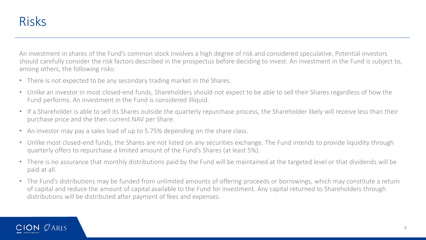An investment in shares of the Fund's common stock involves a high degree of risk and considered speculative. Potential investors should carefully consider the risk factors described in the prospectus before deciding to invest. An investment in the Fund is subject to, among others, the following risks:

- There is not expected to be any secondary trading market in the Shares.
- Unlike an investor in most closed-end funds, Shareholders should not expect to be able to sell their Shares regardless of how the Fund performs. An investment in the Fund is considered illiquid.
- If a Shareholder is able to sell its Shares outside the quarterly repurchase process, the Shareholder likely will receive less than their purchase price and the then current NAV per Share.
- An investor may pay a sales load of up to 5.75% depending on the share class.
- Unlike most closed-end funds, the Shares are not listed on any securities exchange. The Fund intends to provide liquidity through quarterly offers to repurchase a limited amount of the Fund's Shares (at least 5%).
- There is no assurance that monthly distributions paid by the Fund will be maintained at the targeted level or that dividends will be paid at all.
- The Fund's distributions may be funded from unlimited amounts of offering proceeds or borrowings, which may constitute a return of capital and reduce the amount of capital available to the Fund for investment. Any capital returned to Shareholders through distributions will be distributed after payment of fees and expenses.

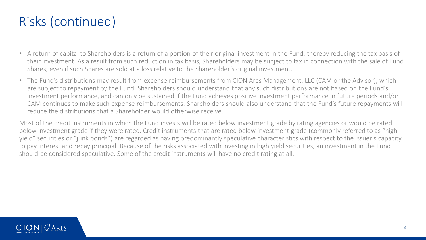### Risks (continued)

- A return of capital to Shareholders is a return of a portion of their original investment in the Fund, thereby reducing the tax basis of their investment. As a result from such reduction in tax basis, Shareholders may be subject to tax in connection with the sale of Fund Shares, even if such Shares are sold at a loss relative to the Shareholder's original investment.
- The Fund's distributions may result from expense reimbursements from CION Ares Management, LLC (CAM or the Advisor), which are subject to repayment by the Fund. Shareholders should understand that any such distributions are not based on the Fund's investment performance, and can only be sustained if the Fund achieves positive investment performance in future periods and/or CAM continues to make such expense reimbursements. Shareholders should also understand that the Fund's future repayments will reduce the distributions that a Shareholder would otherwise receive.

Most of the credit instruments in which the Fund invests will be rated below investment grade by rating agencies or would be rated below investment grade if they were rated. Credit instruments that are rated below investment grade (commonly referred to as "high yield" securities or "junk bonds") are regarded as having predominantly speculative characteristics with respect to the issuer's capacity to pay interest and repay principal. Because of the risks associated with investing in high yield securities, an investment in the Fund should be considered speculative. Some of the credit instruments will have no credit rating at all.

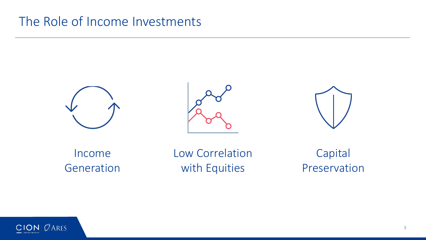### The Role of Income Investments







Income Generation Low Correlation with Equities

Capital Preservation

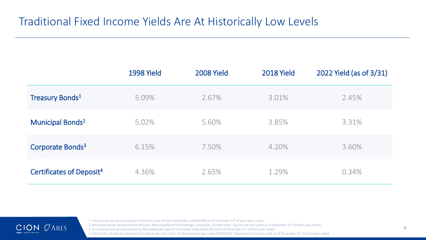### Traditional Fixed Income Yields Are At Historically Low Levels

|                                      | 1998 Yield | 2008 Yield | 2018 Yield | 2022 Yield (as of 3/31) |
|--------------------------------------|------------|------------|------------|-------------------------|
| <b>Treasury Bonds</b> 1              | 5.09%      | 2.67%      | 3.01%      | 2.45%                   |
| <b>Municipal Bonds<sup>2</sup></b>   | 5.02%      | 5.60%      | 3.85%      | 3.31%                   |
| Corporate Bonds <sup>3</sup>         | 6.15%      | 7.50%      | 4.20%      | 3.60%                   |
| Certificates of Deposit <sup>4</sup> | 4.36%      | 2.65%      | 1.29%      | 0.34%                   |



1. Treasury bonds represented by US Generic Govt 30 Year Yield Index (USGG30YR) as of December 31<sup>st</sup> of each year noted.

2. Municipal bonds represented by Moody's Municipal Bond Yield Average Composite, 20 Year Index. Figures are mid-yields as of December 31<sup>st</sup> of each year noted.

3. IG corporate bonds represented by Bloomberg Barclays US Corporate Index (LUACTRUU) as of December 31<sup>st</sup> of each year noted.

4. Certificates of deposit represented by Bankrate.com 1 Year CD National Average Index (ILSYNAVG). Figures are mid-point yields as of December 31<sup>st</sup> of each year noted.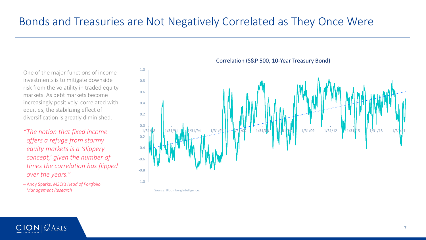One of the major functions of income investments is to mitigate downside risk from the volatility in traded equity markets. As debt markets become increasingly positively correlated with equities, the stabilizing effect of diversification is greatly diminished.

*"The notion that fixed income offers a refuge from stormy equity markets is a 'slippery concept,' given the number of times the correlation has flipped over the years."* 

– Andy Sparks, *MSCI's Head of Portfolio Management Research*



Correlation (S&P 500, 10-Year Treasury Bond)

Source: Bloomberg Intelligence.

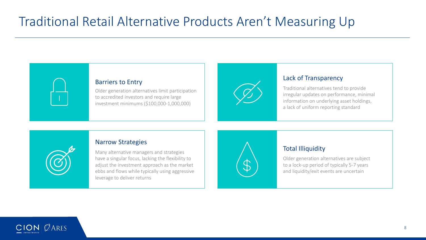### Traditional Retail Alternative Products Aren't Measuring Up



Older generation alternatives limit participation to accredited investors and require large investment minimums (\$100,000-1,000,000)



#### Lack of Transparency

Traditional alternatives tend to provide irregular updates on performance, minimal information on underlying asset holdings, a lack of uniform reporting standard

#### Narrow Strategies

Many alternative managers and strategies have a singular focus, lacking the flexibility to adjust the investment approach as the market ebbs and flows while typically using aggressive leverage to deliver returns



#### Total Illiquidity

Older generation alternatives are subject to a lock-up period of typically 5-7 years and liquidity/exit events are uncertain

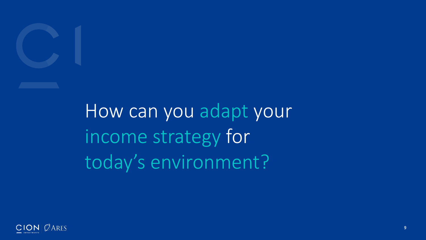

How can you adapt your income strategy for today's environment?

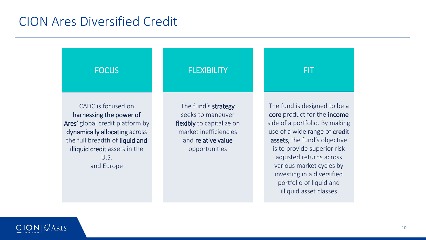### CION Ares Diversified Credit

**FLEXIBILITY** The fund's strategy seeks to maneuver flexibly to capitalize on market inefficiencies and relative value opportunities FIT The fund is designed to be a core product for the income side of a portfolio. By making use of a wide range of credit assets, the fund's objective is to provide superior risk adjusted returns across various market cycles by investing in a diversified portfolio of liquid and illiquid asset classes **FOCUS** CADC is focused on harnessing the power of Ares' global credit platform by dynamically allocating across the full breadth of liquid and illiquid credit assets in the  $U_{\mathcal{S}}$ and Europe

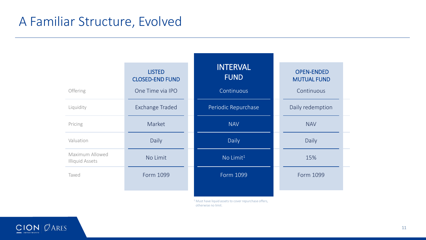### A Familiar Structure, Evolved

| Offering                                  | <b>LISTED</b><br><b>CLOSED-END FUND</b><br>One Time via IPO | <b>INTERVAL</b><br><b>FUND</b><br>Continuous | <b>OPEN-ENDED</b><br><b>MUTUAL FUND</b><br>Continuous |  |
|-------------------------------------------|-------------------------------------------------------------|----------------------------------------------|-------------------------------------------------------|--|
| Liquidity                                 | <b>Exchange Traded</b>                                      | Periodic Repurchase                          | Daily redemption                                      |  |
| Pricing                                   | Market                                                      | <b>NAV</b>                                   | <b>NAV</b>                                            |  |
| Valuation                                 | Daily                                                       | Daily                                        | Daily                                                 |  |
| Maximum Allowed<br><b>Illiquid Assets</b> | No Limit                                                    | No Limit <sup>1</sup>                        | 15%                                                   |  |
| Taxed                                     | Form 1099                                                   | Form 1099                                    | Form 1099                                             |  |
|                                           |                                                             |                                              |                                                       |  |

<sup>1</sup> Must have liquid assets to cover repurchase offers, otherwise no limit.

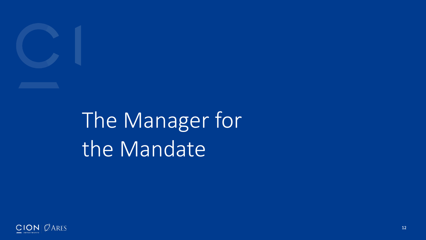

## The Manager for the Mandate

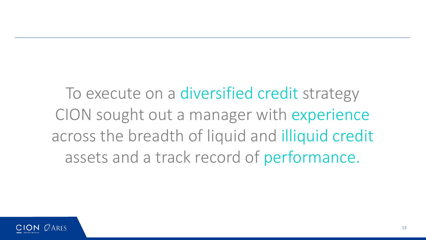To execute on a diversified credit strategy CION sought out a manager with experience across the breadth of liquid and illiquid credit assets and a track record of performance.

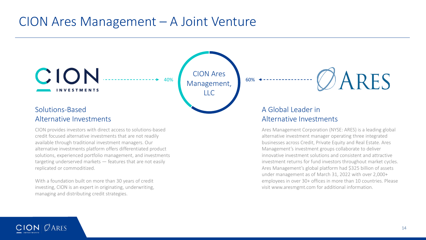### CION Ares Management – A Joint Venture



CION provides investors with direct access to solutions-based credit focused alternative investments that are not readily available through traditional investment managers. Our alternative investments platform offers differentiated product solutions, experienced portfolio management, and investments targeting underserved markets — features that are not easily replicated or commoditized.

With a foundation built on more than 30 years of credit investing, CION is an expert in originating, underwriting, managing and distributing credit strategies.

Ares Management Corporation (NYSE: ARES) is a leading global alternative investment manager operating three integrated businesses across Credit, Private Equity and Real Estate. Ares Management's investment groups collaborate to deliver innovative investment solutions and consistent and attractive investment returns for fund investors throughout market cycles. Ares Management's global platform had \$325 billion of assets under management as of March 31, 2022 with over 2,000+ employees in over 30+ offices in more than 10 countries. Please visit www.aresmgmt.com for additional information.

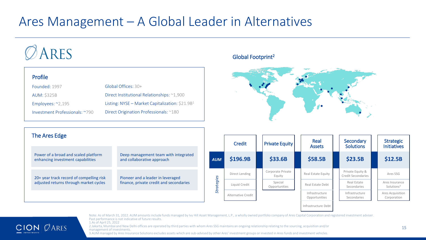### Ares Management – A Global Leader in Alternatives

## ARES

#### Profile

**CION ØARES** 

| Founded: 1997                  | $G$ lobal Offices: $30+$                         |
|--------------------------------|--------------------------------------------------|
| <b>AUM: \$325B</b>             | Direct Institutional Relationships: ~1,900       |
| Employees: $\sim$ 2,195        | Listing: NYSE – Market Capitalization: $$21.9B1$ |
| Investment Professionals: ~790 | Direct Origination Professionals: ~180           |

#### Global Footprint2



| The Ares Edge                                                             |                                                                    |                 | Credit             | <b>Private Equity</b>       | Real<br><b>Assets</b>           | Secondary<br><b>Solutions</b>                 | <b>Strategic</b><br><b>Initiatives</b>   |
|---------------------------------------------------------------------------|--------------------------------------------------------------------|-----------------|--------------------|-----------------------------|---------------------------------|-----------------------------------------------|------------------------------------------|
| Power of a broad and scaled platform<br>enhancing investment capabilities | Deep management team with integrated<br>and collaborative approach | <b>AUM</b>      | \$196.9B           | \$33.6B                     | \$58.5B                         | \$23.5B                                       | \$12.5B                                  |
| 20+ year track record of compelling risk                                  | Pioneer and a leader in leveraged                                  |                 | Direct Lending     | Corporate Private<br>Equity | Real Estate Equity              | Private Equity &<br><b>Credit Secondaries</b> | Ares SSG                                 |
| adjusted returns through market cycles                                    | finance, private credit and secondaries                            | gie<br>$\omega$ | Liquid Credit      | Special<br>Opportunities    | Real Estate Debt                | Real Estate<br>Secondaries                    | Ares Insurance<br>Solutions <sup>3</sup> |
|                                                                           |                                                                    | ಕೆ              | Alternative Credit |                             | Infrastructure<br>Opportunities | Infrastructure<br>Secondaries                 | Ares Acquisition<br>Corporation          |
|                                                                           |                                                                    |                 |                    |                             | Infrastructure Debt             |                                               |                                          |

Note: As of March 31, 2022. AUM amounts include funds managed by Ivy Hill Asset Management, L.P., a wholly owned portfolio company of Ares Capital Corporation and registered investment adviser. Past performance is not indicative of future results. 1.As of April 25, 2022

2.Jakarta, Mumbai and New Delhi offices are operated by third parties with whom Ares SSG maintains an ongoing relationship relating to the sourcing, acquisition and/or management of investments. 3.AUM managed by Ares Insurance Solutions excludes assets which are sub-advised by other Ares' investment groups or invested in Ares funds and investment vehicles.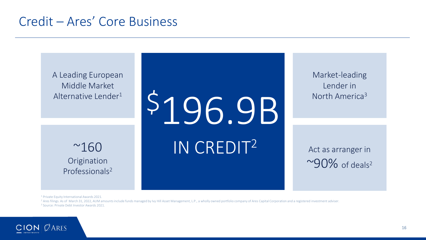### Credit – Ares' Core Business



Market-leading Lender in North America<sup>3</sup>

Act as arranger in  $~^{\circ}90\%$  of deals<sup>2</sup>

<sup>1</sup> Private Equity International Awards 2021.

<sup>2</sup> Ares filings. As of March 31, 2022, AUM amounts include funds managed by Ivy Hill Asset Management, L.P., a wholly owned portfolio company of Ares Capital Corporation and a registered investment adviser.<br><sup>3</sup> Source: Pr

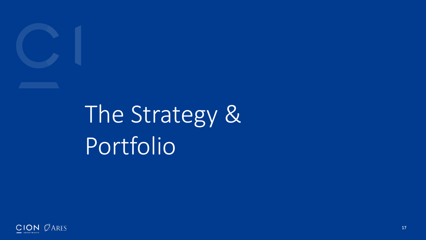

# The Strategy & Portfolio

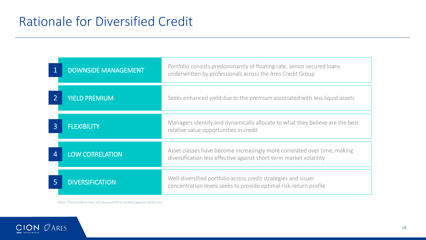|                | <b>DOWNSIDE MANAGEMENT</b> | Portfolio consists predominantly of floating rate, senior secured loans<br>underwritten by professionals across the Ares Credit Group           |
|----------------|----------------------------|-------------------------------------------------------------------------------------------------------------------------------------------------|
|                | <b>YIELD PREMIUM</b>       | Seeks enhanced yield due to the premium associated with less liquid assets                                                                      |
| $\overline{3}$ | <b>FLEXIBILITY</b>         | Managers identify and dynamically allocate to what they believe are the best<br>relative value opportunities in credit                          |
| Д              | <b>LOW CORRELATION</b>     | Asset classes have become increasingly more correlated over time, making<br>diversification less effective against short-term market volatility |
| 5              | <b>DIVERSIFICATION</b>     | Well-diversified portfolio across credit strategies and issuer<br>concentration levels seeks to provide optimal risk-return profile             |

Note: Diversification does not assure profit or protect against market loss.

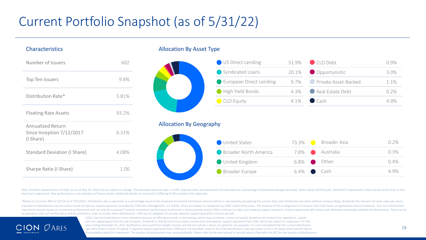### Current Portfolio Snapshot (as of 5/31/22)

#### Characteristics

| Number of Issuers                                                  | 602   |
|--------------------------------------------------------------------|-------|
| Top Ten Issuers                                                    | 9.8%  |
| Distribution Rate*                                                 | 5.81% |
| <b>Floating Rate Assets</b>                                        | 93.2% |
| <b>Annualized Return</b><br>Since Inception 7/12/2017<br>(I Share) | 6.31% |
| <b>Standard Deviation (I Share)</b>                                | 4.08% |
| Sharpe Ratio (I Share)                                             | 1 06  |

#### Allocation By Asset Type



#### Allocation By Geography

| United States         | 73.3%     | Broader Asia | 0.2% |
|-----------------------|-----------|--------------|------|
| Broader North America | $7.8\%$   | Australia    | 0.3% |
| United Kingdom        | $6.8\%$   | Other        | 0.4% |
| Broader Europe        | 6.4% Cash |              | 4.9% |
|                       |           |              |      |

Note: Portfolio characteristics of CADC are as of May 31, 2022 and are subject to change. The estimated expense ratio is 3.43%. Expense ratio is are annualized and calculated as a percentage of estimated average net assets than their original cost. Past performance is not indicative of future results. Additional details can be found in Offering Profile located in the Appendix.

\*Based on a Current NAV of \$25.04 as of 5/31/2022. Distribution rate is expressed as a percentage equal to the projected annualized distribution amount (which is calculated by annualizing the current daily cash distributio A portion of distributions may be a direct result of expense support payments provided by CION Ares Management, LLC (CAM), which are subject to repayment by CADC within three years. The purpose of this arrangement is to en may not be entirely based on investment performance and can only be sustained if positive investment performance is achieved in future periods and/or CAM continues to make such expense support payments. Future repayments w no assurance that such performance will be achieved in order to sustain these distributions. CAM has no obligation to provide expense support payments in future periods.



CADC may fund distributions from unlimited amounts of offering proceeds or borrowings, which may constitute a return of capital, as well as net income from operations, capital and non-capital gains from the sale of assets, dividends or distributions from equity investments and expense support payments from CAM, which are subject to repayment. For the year ending December 31, 2021 distributions were paid from taxable income and did not include a return of capital for tax purposes. It is not anticipated that the current distribution rate will contain a return of capital. If expense support payments from CAM were not provided, some or all of the distributions may have been a return of capital which would reduce the available capital for investment. The sources of distributions may vary periodically. Please refer to the semi-annual or annual reports filed with the SEC for the sources of distributions.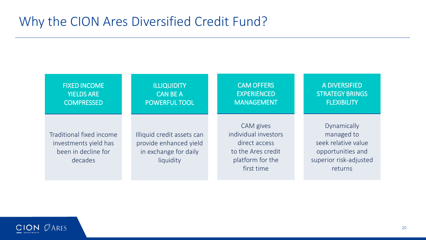### Why the CION Ares Diversified Credit Fund?

| <b>FIXED INCOME</b>                                                                 | <b>ILLIQUIDITY</b>                                                                         | <b>CAM OFFERS</b>                                                                                          | A DIVERSIFIED          |  |  |  |
|-------------------------------------------------------------------------------------|--------------------------------------------------------------------------------------------|------------------------------------------------------------------------------------------------------------|------------------------|--|--|--|
| <b>YIELDS ARE</b>                                                                   | <b>CAN BE A</b>                                                                            | <b>EXPERIENCED</b>                                                                                         | <b>STRATEGY BRINGS</b> |  |  |  |
| <b>COMPRESSED</b>                                                                   | <b>POWERFUL TOOL</b>                                                                       | <b>MANAGEMENT</b>                                                                                          | <b>FLEXIBILITY</b>     |  |  |  |
| Traditional fixed income<br>investments yield has<br>been in decline for<br>decades | Illiquid credit assets can<br>provide enhanced yield<br>in exchange for daily<br>liquidity | CAM gives<br>individual investors<br>direct access<br>to the Ares credit<br>platform for the<br>first time |                        |  |  |  |

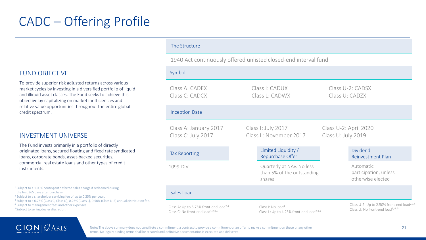#### FUND OBJECTIVE

To provide superior risk adjusted returns across various market cycles by investing in a diversified portfolio of liquid and illiquid asset classes. The Fund seeks to achieve this objective by capitalizing on market inefficiencies and relative value opportunities throughout the entire global credit spectrum.

#### INVESTMENT UNIVERSE

The Fund invests primarily in a portfolio of directly originated loans, secured floating and fixed rate syndicated loans, corporate bonds, asset-backed securities, commercial real estate loans and other types of credit instruments.

<sup>1</sup> Subject to a 1.00% contingent deferred sales charge if redeemed during the first 365 days after purchase.

<sup>2</sup> Subject to a shareholder servicing fee of up to 0.25% per year.

<sup>3</sup> Subject to a 0.75% (Class C, Class U), 0.25% (Class L), 0.50% (Class U-2) annual distribution fee.

<sup>4</sup> Subject to management fees and other expenses.

5 Subject to selling dealer discretion.

#### The Structure

#### 1940 Act continuously offered unlisted closed-end interval fund

| Symbol                                                                                              |                                                                                       |                                                                                                         |  |  |
|-----------------------------------------------------------------------------------------------------|---------------------------------------------------------------------------------------|---------------------------------------------------------------------------------------------------------|--|--|
| Class A: CADEX<br>Class C: CADCX                                                                    | Class I: CADUX<br>Class L: CADWX                                                      | Class U-2: CADSX<br>Class U: CADZX                                                                      |  |  |
| <b>Inception Date</b>                                                                               |                                                                                       |                                                                                                         |  |  |
| Class A: January 2017<br>Class C: July 2017                                                         | Class I: July 2017<br>Class L: November 2017                                          | Class U-2: April 2020<br>Class U: July 2019                                                             |  |  |
| <b>Tax Reporting</b>                                                                                | Limited Liquidity /<br>Repurchase Offer                                               | <b>Dividend</b><br>Reinvestment Plan                                                                    |  |  |
| 1099-DIV                                                                                            | Quarterly at NAV. No less<br>than 5% of the outstanding<br>shares                     | Automatic<br>participation, unless<br>otherwise elected                                                 |  |  |
| Sales Load                                                                                          |                                                                                       |                                                                                                         |  |  |
| Class A: Up to 5.75% front-end load <sup>2,4</sup><br>Class C: No front-end load <sup>1,2,3,4</sup> | Class I: No load <sup>4</sup><br>Class L: Up to 4.25% front-end load <sup>2,3,4</sup> | Class U-2: Up to 2.50% front-end load <sup>2,3,4</sup><br>Class U: No front-end load <sup>3, 4, 5</sup> |  |  |



Note: The above summary does not constitute a commitment, a contract to provide a commitment or an offer to make a commitment on these or any other terms. No legally binding terms shall be created until definitive documentation is executed and delivered..